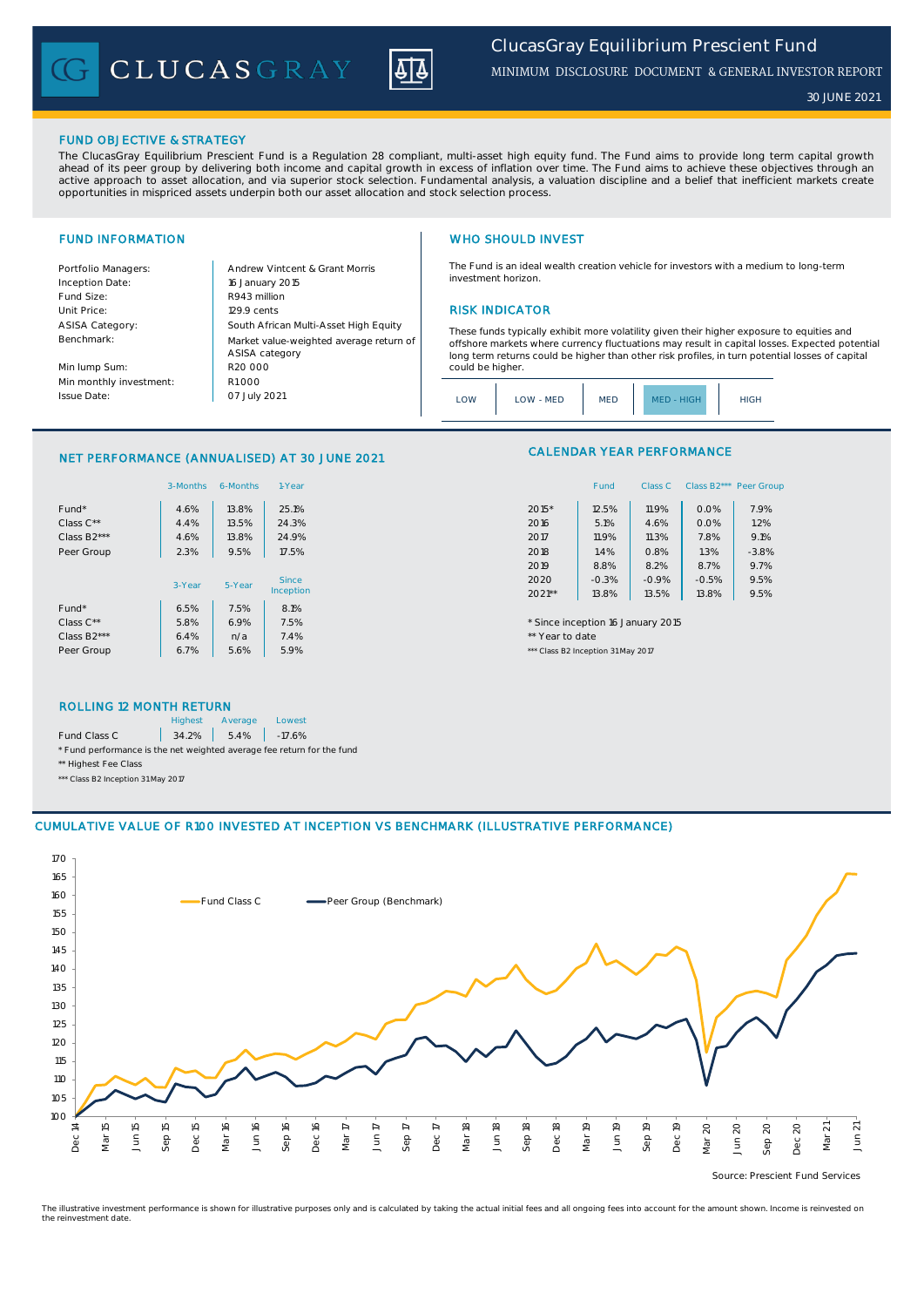CLUCASGRAY



*30 JUNE 2021*

## FUND OBJECTIVE & STRATEGY

The ClucasGray Equilibrium Prescient Fund is a Regulation 28 compliant, multi-asset high equity fund. The Fund aims to provide long term capital growth ahead of its peer group by delivering both income and capital growth in excess of inflation over time. The Fund aims to achieve these objectives through an<br>active approach to asset allocation, and via superior stock select opportunities in mispriced assets underpin both our asset allocation and stock selection process.

Inception Date: Fund Size: R943 million ASISA Category: Benchmark:

Min lump Sum: Min monthly investment: Issue Date:

Portfolio Managers: <br>Andrew Vintcent & Grant Morris Unit Price: 129.9 cents RISK INDICATOR South African Multi-Asset High Equity 16 January 2015 R20 000 Market value-weighted average return of ASISA category 07 July 2021  $R1000$ 

## FUND INFORMATION **WHO SHOULD INVEST**

The Fund is an ideal wealth creation vehicle for investors with a medium to long-term investment horizon.

These funds typically exhibit more volatility given their higher exposure to equities and offshore markets where currency fluctuations may result in capital losses. Expected potential long term returns could be higher than other risk profiles, in turn potential losses of capital could be higher

|  | .OW | LOW - MED | <b>MED</b> | MFD - HIGH | <b>HIGH</b> |
|--|-----|-----------|------------|------------|-------------|
|--|-----|-----------|------------|------------|-------------|

## NET PERFORMANCE (ANNUALISED) AT 30 JUNE 2021

|                          | 3-Months | 6-Months | 1-Year    | Fund<br>Class B <sub>2</sub> *** Peer Gro<br>Class C |
|--------------------------|----------|----------|-----------|------------------------------------------------------|
| Fund*                    | 4.6%     | 13.8%    | 25.1%     | 7.9%<br>11.9%<br>$2015*$<br>12.5%<br>0.0%            |
| Class C**                | 4.4%     | 13.5%    | 24.3%     | 5.1%<br>0.0%<br>1.2%<br>2016<br>4.6%                 |
| Class B <sub>2</sub> *** | 4.6%     | 13.8%    | 24.9%     | 9.1%<br>11.9%<br>7.8%<br>2017<br>11.3%               |
| Peer Group               | 2.3%     | 9.5%     | 17.5%     | 1.4%<br>1.3%<br>$-3.8%$<br>2018<br>0.8%              |
|                          |          |          |           | 8.7%<br>9.7%<br>2019<br>8.8%<br>8.2%                 |
|                          | 3-Year   | 5-Year   | Since     | 9.5%<br>$-0.3%$<br>2020<br>$-0.9%$<br>$-0.5%$        |
|                          |          |          | Inception | 9.5%<br>$2021**$<br>13.8%<br>13.8%<br>13.5%          |
| Fund*                    | 6.5%     | 7.5%     | 8.1%      |                                                      |
| Class $C^{\star\star}$   | 5.8%     | 6.9%     | 7.5%      | * Since inception 16 January 2015                    |
| Class B <sub>2</sub> *** | 6.4%     | n/a      | 7.4%      | ** Year to date                                      |
| Peer Group               | 6.7%     | 5.6%     | 5.9%      | *** Class B2 Inception 31 May 2017                   |

## CALENDAR YEAR PERFORMANCE

| 1-Year  |          | Fund    | Class C |         | Class B2*** Peer Group |
|---------|----------|---------|---------|---------|------------------------|
| 25.1%   | 2015*    | 12.5%   | 11.9%   | 0.0%    | 7.9%                   |
| 24.3%   | 2016     | 5.1%    | 4.6%    | 0.0%    | 1.2%                   |
| 24.9%   | 2017     | 11.9%   | 11.3%   | 7.8%    | 9.1%                   |
| 17.5%   | 2018     | 1.4%    | 0.8%    | 1.3%    | $-3.8%$                |
|         | 2019     | 8.8%    | 8.2%    | 8.7%    | 9.7%                   |
| Since   | 2020     | $-0.3%$ | $-0.9%$ | $-0.5%$ | 9.5%                   |
| ception | $2021**$ | 13.8%   | 13.5%   | 13.8%   | 9.5%                   |

### ROLLING 12 MONTH RETURN

|                                                                        | <b>Highest</b> | Average              | Lowest |
|------------------------------------------------------------------------|----------------|----------------------|--------|
| Fund Class C                                                           |                | $34.2\%$ 5.4% -17.6% |        |
| * Fund performance is the net weighted average fee return for the fund |                |                      |        |
| ** Highest Fee Class                                                   |                |                      |        |

\*\*\* Class B2 Inception 31 May 2017

## CUMULATIVE VALUE OF R100 INVESTED AT INCEPTION VS BENCHMARK (ILLUSTRATIVE PERFORMANCE)



Source: Prescient Fund Services

The illustrative investment performance is shown for illustrative purposes only and is calculated by taking the actual initial fees and all ongoing fees into account for the amount shown. Income is reinvested on the reinvestment date.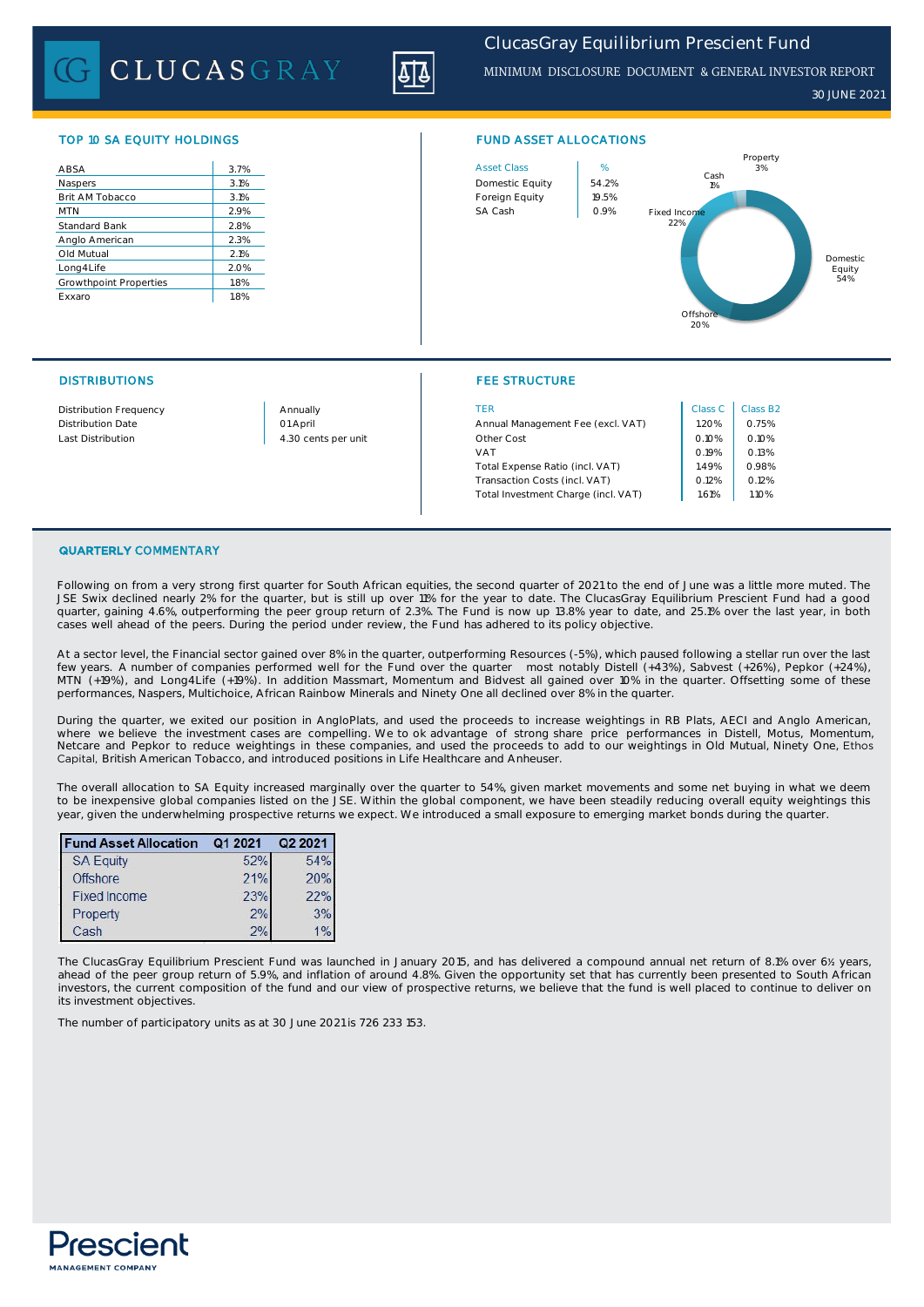CLUCASGRAY

# *ClucasGray Equilibrium Prescient Fund*

MINIMUM DISCLOSURE DOCUMENT & GENERAL INVESTOR REPORT

*30 JUNE 2021*

| ABSA                   | 3.7% |
|------------------------|------|
| Naspers                | 3.1% |
| Brit AM Tobacco        | 3.1% |
| <b>MTN</b>             | 2.9% |
| Standard Bank          | 2.8% |
| Anglo American         | 2.3% |
| Old Mutual             | 2.1% |
| Long4Life              | 2.0% |
| Growthpoint Properties | 1.8% |
| Exxaro                 | 1.8% |
|                        |      |



## DISTRIBUTIONS FEE STRUCTURE

| Distribution Frequency | Annually            | <b>TER</b>                          | Class C | Class B |
|------------------------|---------------------|-------------------------------------|---------|---------|
| Distribution Date      | 01 April            | Annual Management Fee (excl. VAT)   | 1.20%   | 0.75%   |
| Last Distribution      | 4.30 cents per unit | Other Cost                          | 0.10%   | 0.10%   |
|                        |                     | <b>VAT</b>                          | 0.19%   | 0.13%   |
|                        |                     | Total Expense Ratio (incl. VAT)     | 1.49%   | 0.98%   |
|                        |                     | Transaction Costs (incl. VAT)       | 0.12%   | 0.12%   |
|                        |                     | Total Investment Charge (incl. VAT) | 1.61%   | 1.10%   |

| Class C | Class B <sub>2</sub> |
|---------|----------------------|
| 1.20%   | 0.75%                |
| 0.10%   | 0.10%                |
| 0.19%   | 0.13%                |
| 1.49%   | 0.98%                |
| 0.12%   | 0.12%                |
| 1.61%   | 1.10%                |
|         |                      |

### QUARTERLY COMMENTARY

Following on from a very strong first quarter for South African equities, the second quarter of 2021 to the end of June was a little more muted. The JSE Swix declined nearly 2% for the quarter, but is still up over 11% for the year to date. The ClucasGray Equilibrium Prescient Fund had a good quarter, gaining 4.6%, outperforming the peer group return of 2.3%. The Fund is now up 13.8% year to date, and 25.1% over the last year, in both cases well ahead of the peers. During the period under review, the Fund has adhered to its policy objective.

At a sector level, the Financial sector gained over 8% in the quarter, outperforming Resources (-5%), which paused following a stellar run over the last few years. A number of companies performed well for the Fund over the quarter most notably Distell (+43%), Sabvest (+26%), Pepkor (+24%), MTN (+19%), and Long4Life (+19%). In addition Massmart, Momentum and Bidvest all gained over 10% in the quarter. Offsetting some of these performances, Naspers, Multichoice, African Rainbow Minerals and Ninety One all declined over 8% in the quarter.

During the quarter, we exited our position in AngloPlats, and used the proceeds to increase weightings in RB Plats, AECI and Anglo American, where we believe the investment cases are compelling. We to ok advantage of strong share price performances in Distell, Motus, Momentum, Netcare and Pepkor to reduce weightings in these companies, and used the proceeds to add to our weightings in Old Mutual, Ninety One, Ethos Capital, British American Tobacco, and introduced positions in Life Healthcare and Anheuser.

The overall allocation to SA Equity increased marginally over the quarter to 54%, given market movements and some net buying in what we deem to be inexpensive global companies listed on the JSE. Within the global component, we have been steadily reducing overall equity weightings this year, given the underwhelming prospective returns we expect. We introduced a small exposure to emerging market bonds during the quarter.

| <b>Fund Asset Allocation</b> | Q1 2021 | Q2 2021 |
|------------------------------|---------|---------|
| <b>SA Equity</b>             | 52%     | 54%     |
| <b>Offshore</b>              | 21%     | 20%     |
| <b>Fixed Income</b>          | 23%     | 22%     |
| Property                     | 2%      | 3%      |
| Cash                         | 2%      | 1%      |

The ClucasGray Equilibrium Prescient Fund was launched in January 2015, and has delivered a compound annual net return of 8.1% over 6½ years,<br>ahead of the peer group return of 5.9%, and inflation of around 4.8%. Given the investors, the current composition of the fund and our view of prospective returns, we believe that the fund is well placed to continue to deliver on its investment objectives.

The number of participatory units as at 30 June 2021 is 726 233 153.